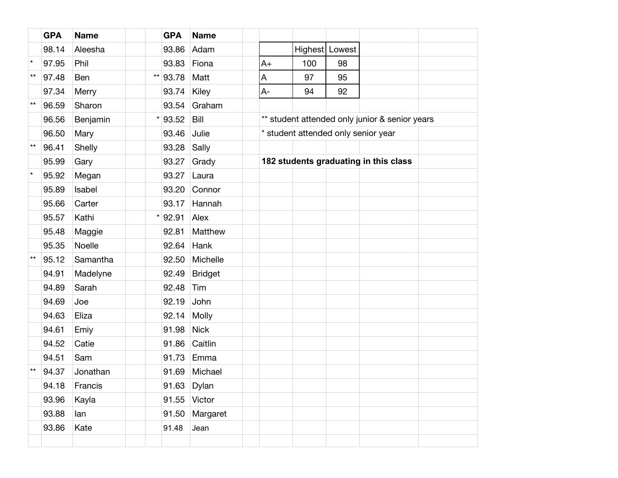|              | <b>GPA</b> | <b>Name</b> |              | <b>GPA</b>  | <b>Name</b>    |                                                |     |                |  |  |
|--------------|------------|-------------|--------------|-------------|----------------|------------------------------------------------|-----|----------------|--|--|
|              | 98.14      | Aleesha     |              | 93.86       | Adam           |                                                |     | Highest Lowest |  |  |
| $\star$      | 97.95      | Phil        |              | 93.83       | Fiona          | $A+$                                           | 100 | 98             |  |  |
| $***$        | 97.48      | Ben         | $\star\star$ | 93.78       | Matt           | A                                              | 97  | 95             |  |  |
|              | 97.34      | Merry       |              | 93.74       | Kiley          | $A -$                                          | 94  | 92             |  |  |
| $***$        | 96.59      | Sharon      |              | 93.54       | Graham         |                                                |     |                |  |  |
|              | 96.56      | Benjamin    | $\star$      | 93.52       | Bill           | ** student attended only junior & senior years |     |                |  |  |
|              | 96.50      | Mary        |              | 93.46       | Julie          | * student attended only senior year            |     |                |  |  |
| $\star\star$ | 96.41      | Shelly      |              | 93.28       | Sally          |                                                |     |                |  |  |
|              | 95.99      | Gary        |              | 93.27       | Grady          | 182 students graduating in this class          |     |                |  |  |
| $\star$      | 95.92      | Megan       |              | 93.27       | Laura          |                                                |     |                |  |  |
|              | 95.89      | Isabel      |              | 93.20       | Connor         |                                                |     |                |  |  |
|              | 95.66      | Carter      |              | 93.17       | Hannah         |                                                |     |                |  |  |
|              | 95.57      | Kathi       | $\star$      | 92.91       | Alex           |                                                |     |                |  |  |
|              | 95.48      | Maggie      |              | 92.81       | Matthew        |                                                |     |                |  |  |
|              | 95.35      | Noelle      |              | 92.64       | Hank           |                                                |     |                |  |  |
| $\star\star$ | 95.12      | Samantha    |              | 92.50       | Michelle       |                                                |     |                |  |  |
|              | 94.91      | Madelyne    |              | 92.49       | <b>Bridget</b> |                                                |     |                |  |  |
|              | 94.89      | Sarah       |              | 92.48       | Tim            |                                                |     |                |  |  |
|              | 94.69      | Joe         |              | 92.19       | John           |                                                |     |                |  |  |
|              | 94.63      | Eliza       |              | 92.14       | <b>Molly</b>   |                                                |     |                |  |  |
|              | 94.61      | Emiy        |              | 91.98       | <b>Nick</b>    |                                                |     |                |  |  |
|              | 94.52      | Catie       |              | 91.86       | Caitlin        |                                                |     |                |  |  |
|              | 94.51      | Sam         |              | 91.73       | Emma           |                                                |     |                |  |  |
| $\star\star$ | 94.37      | Jonathan    |              | 91.69       | Michael        |                                                |     |                |  |  |
|              | 94.18      | Francis     |              | 91.63 Dylan |                |                                                |     |                |  |  |
|              | 93.96      | Kayla       |              | 91.55       | Victor         |                                                |     |                |  |  |
|              | 93.88      | lan         |              | 91.50       | Margaret       |                                                |     |                |  |  |
|              | 93.86      | Kate        |              | 91.48       | Jean           |                                                |     |                |  |  |
|              |            |             |              |             |                |                                                |     |                |  |  |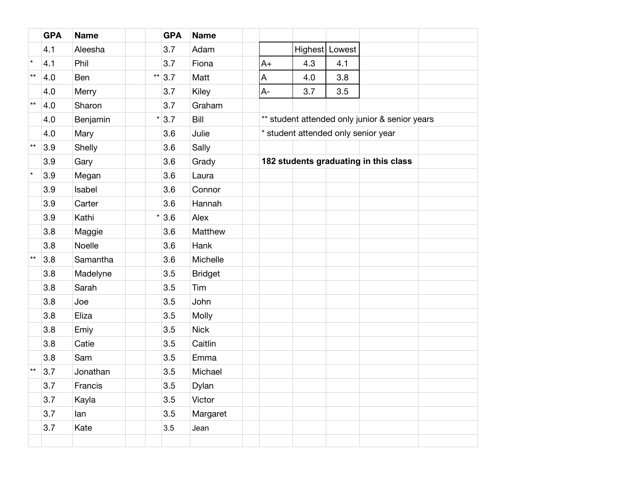|              | <b>GPA</b> | <b>Name</b> |              | <b>GPA</b> | <b>Name</b>    |                                                |     |                |  |  |
|--------------|------------|-------------|--------------|------------|----------------|------------------------------------------------|-----|----------------|--|--|
|              | 4.1        | Aleesha     |              | 3.7        | Adam           |                                                |     | Highest Lowest |  |  |
| $\star$      | 4.1        | Phil        |              | 3.7        | Fiona          | $A+$                                           | 4.3 | 4.1            |  |  |
| $**$         | 4.0        | Ben         | $\star\star$ | 3.7        | Matt           | A                                              | 4.0 | 3.8            |  |  |
|              | 4.0        | Merry       |              | 3.7        | Kiley          | A-                                             | 3.7 | 3.5            |  |  |
| $**$         | 4.0        | Sharon      |              | 3.7        | Graham         |                                                |     |                |  |  |
|              | 4.0        | Benjamin    | $\star$      | 3.7        | Bill           | ** student attended only junior & senior years |     |                |  |  |
|              | 4.0        | Mary        |              | 3.6        | Julie          | * student attended only senior year            |     |                |  |  |
| $\star\star$ | 3.9        | Shelly      |              | 3.6        | Sally          |                                                |     |                |  |  |
|              | 3.9        | Gary        |              | 3.6        | Grady          | 182 students graduating in this class          |     |                |  |  |
| $\star$      | 3.9        | Megan       |              | 3.6        | Laura          |                                                |     |                |  |  |
|              | 3.9        | Isabel      |              | 3.6        | Connor         |                                                |     |                |  |  |
|              | 3.9        | Carter      |              | 3.6        | Hannah         |                                                |     |                |  |  |
|              | 3.9        | Kathi       | $\star$      | 3.6        | Alex           |                                                |     |                |  |  |
|              | 3.8        | Maggie      |              | 3.6        | Matthew        |                                                |     |                |  |  |
|              | 3.8        | Noelle      |              | 3.6        | Hank           |                                                |     |                |  |  |
| $\star\star$ | 3.8        | Samantha    |              | 3.6        | Michelle       |                                                |     |                |  |  |
|              | 3.8        | Madelyne    |              | 3.5        | <b>Bridget</b> |                                                |     |                |  |  |
|              | 3.8        | Sarah       |              | 3.5        | Tim            |                                                |     |                |  |  |
|              | 3.8        | Joe         |              | 3.5        | John           |                                                |     |                |  |  |
|              | 3.8        | Eliza       |              | 3.5        | Molly          |                                                |     |                |  |  |
|              | 3.8        | Emiy        |              | 3.5        | <b>Nick</b>    |                                                |     |                |  |  |
|              | 3.8        | Catie       |              | 3.5        | Caitlin        |                                                |     |                |  |  |
|              | 3.8        | Sam         |              | 3.5        | Emma           |                                                |     |                |  |  |
| $\star\star$ | 3.7        | Jonathan    |              | 3.5        | Michael        |                                                |     |                |  |  |
|              | 3.7        | Francis     |              | 3.5        | Dylan          |                                                |     |                |  |  |
|              | 3.7        | Kayla       |              | 3.5        | Victor         |                                                |     |                |  |  |
|              | 3.7        | lan         |              | 3.5        | Margaret       |                                                |     |                |  |  |
|              | 3.7        | Kate        |              | 3.5        | Jean           |                                                |     |                |  |  |
|              |            |             |              |            |                |                                                |     |                |  |  |